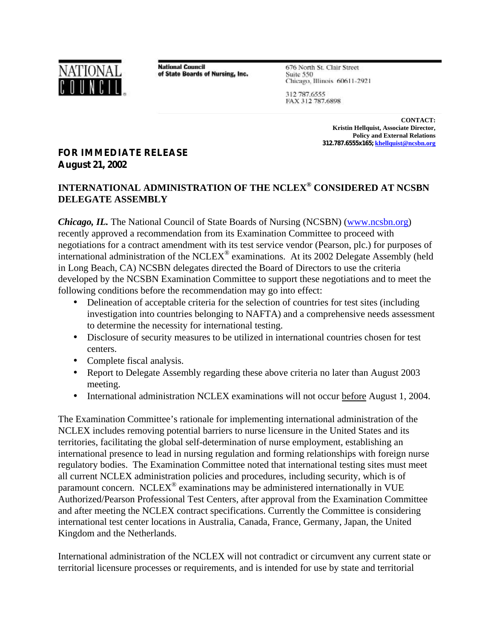

**National Council** of State Boards of Nursing, Inc. 676 North St. Clair Street Suite 550 Chicago, Illinois 60611-2921

312 787.6555 FAX 312 787.6898

> **CONTACT: Kristin Hellquist, Associate Director, Policy and External Relations 312.787.6555x165; khellquist@ncsbn.org**

## **FOR IMMEDIATE RELEASE August 21, 2002**

## **INTERNATIONAL ADMINISTRATION OF THE NCLEX® CONSIDERED AT NCSBN DELEGATE ASSEMBLY**

*Chicago, IL.* The National Council of State Boards of Nursing (NCSBN) (www.ncsbn.org) recently approved a recommendation from its Examination Committee to proceed with negotiations for a contract amendment with its test service vendor (Pearson, plc.) for purposes of international administration of the NCLEX<sup>®</sup> examinations. At its 2002 Delegate Assembly (held in Long Beach, CA) NCSBN delegates directed the Board of Directors to use the criteria developed by the NCSBN Examination Committee to support these negotiations and to meet the following conditions before the recommendation may go into effect:

- Delineation of acceptable criteria for the selection of countries for test sites (including investigation into countries belonging to NAFTA) and a comprehensive needs assessment to determine the necessity for international testing.
- Disclosure of security measures to be utilized in international countries chosen for test centers.
- Complete fiscal analysis.
- Report to Delegate Assembly regarding these above criteria no later than August 2003 meeting.
- International administration NCLEX examinations will not occur before August 1, 2004.

The Examination Committee's rationale for implementing international administration of the NCLEX includes removing potential barriers to nurse licensure in the United States and its territories, facilitating the global self-determination of nurse employment, establishing an international presence to lead in nursing regulation and forming relationships with foreign nurse regulatory bodies. The Examination Committee noted that international testing sites must meet all current NCLEX administration policies and procedures, including security, which is of paramount concern. NCLEX<sup>®</sup> examinations may be administered internationally in VUE Authorized/Pearson Professional Test Centers, after approval from the Examination Committee and after meeting the NCLEX contract specifications. Currently the Committee is considering international test center locations in Australia, Canada, France, Germany, Japan, the United Kingdom and the Netherlands.

International administration of the NCLEX will not contradict or circumvent any current state or territorial licensure processes or requirements, and is intended for use by state and territorial